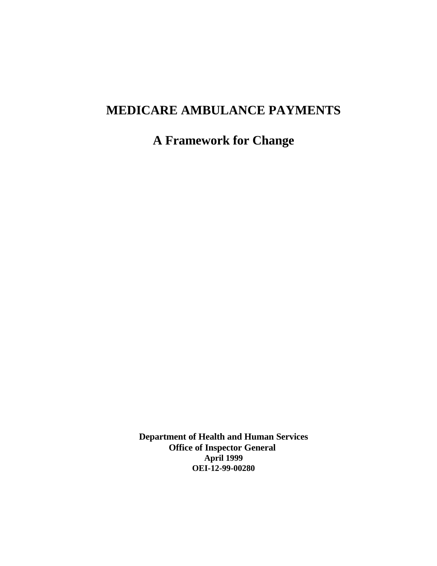# **MEDICARE AMBULANCE PAYMENTS**

**A Framework for Change** 

**Department of Health and Human Services Office of Inspector General April 1999 OEI-12-99-00280**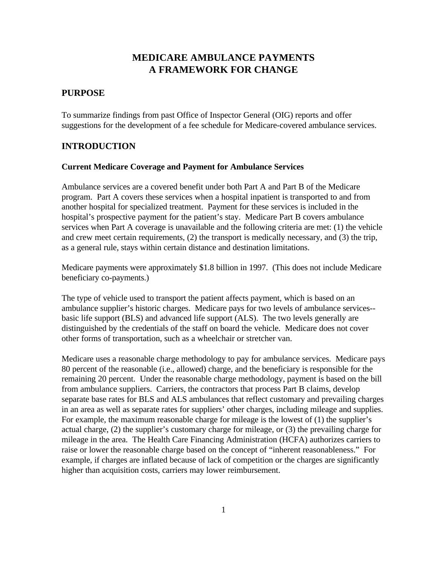# **MEDICARE AMBULANCE PAYMENTS A FRAMEWORK FOR CHANGE**

## **PURPOSE**

To summarize findings from past Office of Inspector General (OIG) reports and offer suggestions for the development of a fee schedule for Medicare-covered ambulance services.

## **INTRODUCTION**

#### **Current Medicare Coverage and Payment for Ambulance Services**

Ambulance services are a covered benefit under both Part A and Part B of the Medicare program. Part A covers these services when a hospital inpatient is transported to and from another hospital for specialized treatment. Payment for these services is included in the hospital's prospective payment for the patient's stay. Medicare Part B covers ambulance services when Part A coverage is unavailable and the following criteria are met: (1) the vehicle and crew meet certain requirements, (2) the transport is medically necessary, and (3) the trip, as a general rule, stays within certain distance and destination limitations.

Medicare payments were approximately \$1.8 billion in 1997. (This does not include Medicare beneficiary co-payments.)

The type of vehicle used to transport the patient affects payment, which is based on an ambulance supplier's historic charges. Medicare pays for two levels of ambulance services basic life support (BLS) and advanced life support (ALS). The two levels generally are distinguished by the credentials of the staff on board the vehicle. Medicare does not cover other forms of transportation, such as a wheelchair or stretcher van.

Medicare uses a reasonable charge methodology to pay for ambulance services. Medicare pays 80 percent of the reasonable (i.e., allowed) charge, and the beneficiary is responsible for the remaining 20 percent. Under the reasonable charge methodology, payment is based on the bill from ambulance suppliers. Carriers, the contractors that process Part B claims, develop separate base rates for BLS and ALS ambulances that reflect customary and prevailing charges in an area as well as separate rates for suppliers' other charges, including mileage and supplies. For example, the maximum reasonable charge for mileage is the lowest of (1) the supplier's actual charge, (2) the supplier's customary charge for mileage, or (3) the prevailing charge for mileage in the area. The Health Care Financing Administration (HCFA) authorizes carriers to raise or lower the reasonable charge based on the concept of "inherent reasonableness." For example, if charges are inflated because of lack of competition or the charges are significantly higher than acquisition costs, carriers may lower reimbursement.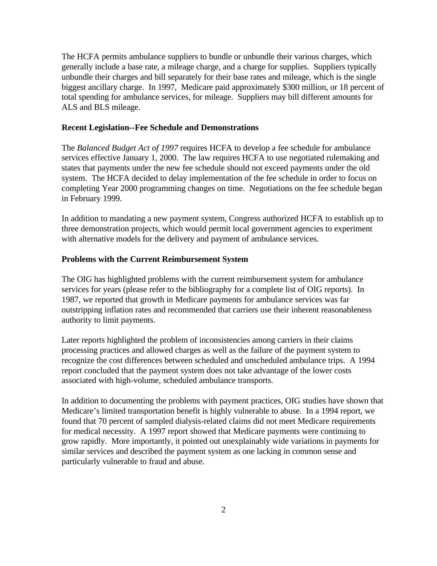The HCFA permits ambulance suppliers to bundle or unbundle their various charges, which generally include a base rate, a mileage charge, and a charge for supplies. Suppliers typically unbundle their charges and bill separately for their base rates and mileage, which is the single biggest ancillary charge. In 1997, Medicare paid approximately \$300 million, or 18 percent of total spending for ambulance services, for mileage. Suppliers may bill different amounts for ALS and BLS mileage.

#### **Recent Legislation--Fee Schedule and Demonstrations**

The *Balanced Budget Act of 1997* requires HCFA to develop a fee schedule for ambulance services effective January 1, 2000. The law requires HCFA to use negotiated rulemaking and states that payments under the new fee schedule should not exceed payments under the old system. The HCFA decided to delay implementation of the fee schedule in order to focus on completing Year 2000 programming changes on time. Negotiations on the fee schedule began in February 1999.

In addition to mandating a new payment system, Congress authorized HCFA to establish up to three demonstration projects, which would permit local government agencies to experiment with alternative models for the delivery and payment of ambulance services.

#### **Problems with the Current Reimbursement System**

The OIG has highlighted problems with the current reimbursement system for ambulance services for years (please refer to the bibliography for a complete list of OIG reports). In 1987, we reported that growth in Medicare payments for ambulance services was far outstripping inflation rates and recommended that carriers use their inherent reasonableness authority to limit payments.

Later reports highlighted the problem of inconsistencies among carriers in their claims processing practices and allowed charges as well as the failure of the payment system to recognize the cost differences between scheduled and unscheduled ambulance trips. A 1994 report concluded that the payment system does not take advantage of the lower costs associated with high-volume, scheduled ambulance transports.

In addition to documenting the problems with payment practices, OIG studies have shown that Medicare's limited transportation benefit is highly vulnerable to abuse. In a 1994 report, we found that 70 percent of sampled dialysis-related claims did not meet Medicare requirements for medical necessity. A 1997 report showed that Medicare payments were continuing to grow rapidly. More importantly, it pointed out unexplainably wide variations in payments for similar services and described the payment system as one lacking in common sense and particularly vulnerable to fraud and abuse.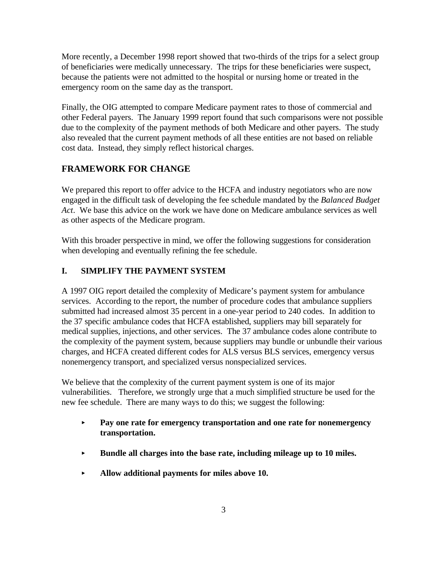More recently, a December 1998 report showed that two-thirds of the trips for a select group of beneficiaries were medically unnecessary. The trips for these beneficiaries were suspect, because the patients were not admitted to the hospital or nursing home or treated in the emergency room on the same day as the transport.

Finally, the OIG attempted to compare Medicare payment rates to those of commercial and other Federal payers. The January 1999 report found that such comparisons were not possible due to the complexity of the payment methods of both Medicare and other payers. The study also revealed that the current payment methods of all these entities are not based on reliable cost data. Instead, they simply reflect historical charges.

## **FRAMEWORK FOR CHANGE**

We prepared this report to offer advice to the HCFA and industry negotiators who are now engaged in the difficult task of developing the fee schedule mandated by the *Balanced Budget Act*. We base this advice on the work we have done on Medicare ambulance services as well as other aspects of the Medicare program.

With this broader perspective in mind, we offer the following suggestions for consideration when developing and eventually refining the fee schedule.

### **I. SIMPLIFY THE PAYMENT SYSTEM**

A 1997 OIG report detailed the complexity of Medicare's payment system for ambulance services. According to the report, the number of procedure codes that ambulance suppliers submitted had increased almost 35 percent in a one-year period to 240 codes. In addition to the 37 specific ambulance codes that HCFA established, suppliers may bill separately for medical supplies, injections, and other services. The 37 ambulance codes alone contribute to the complexity of the payment system, because suppliers may bundle or unbundle their various charges, and HCFA created different codes for ALS versus BLS services, emergency versus nonemergency transport, and specialized versus nonspecialized services.

We believe that the complexity of the current payment system is one of its major vulnerabilities. Therefore, we strongly urge that a much simplified structure be used for the new fee schedule. There are many ways to do this; we suggest the following:

- $\blacktriangleright$  **Pay one rate for emergency transportation and one rate for nonemergency transportation.**
- $\blacktriangleright$ **Bundle all charges into the base rate, including mileage up to 10 miles.**
- $\blacktriangleright$ **Allow additional payments for miles above 10.**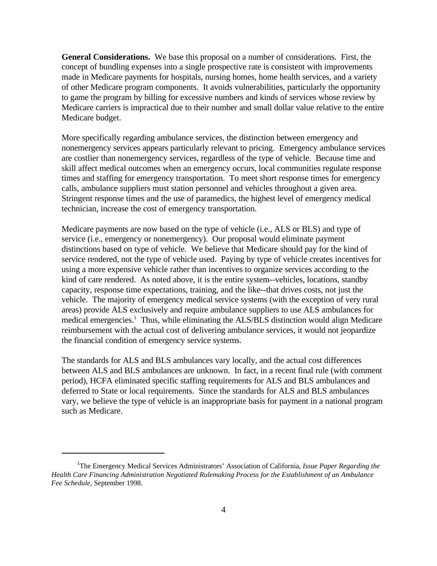**General Considerations.** We base this proposal on a number of considerations. First, the concept of bundling expenses into a single prospective rate is consistent with improvements made in Medicare payments for hospitals, nursing homes, home health services, and a variety of other Medicare program components. It avoids vulnerabilities, particularly the opportunity to game the program by billing for excessive numbers and kinds of services whose review by Medicare carriers is impractical due to their number and small dollar value relative to the entire Medicare budget.

More specifically regarding ambulance services, the distinction between emergency and nonemergency services appears particularly relevant to pricing. Emergency ambulance services are costlier than nonemergency services, regardless of the type of vehicle. Because time and skill affect medical outcomes when an emergency occurs, local communities regulate response times and staffing for emergency transportation. To meet short response times for emergency calls, ambulance suppliers must station personnel and vehicles throughout a given area. Stringent response times and the use of paramedics, the highest level of emergency medical technician, increase the cost of emergency transportation.

Medicare payments are now based on the type of vehicle (i.e., ALS or BLS) and type of service (i.e., emergency or nonemergency). Our proposal would eliminate payment distinctions based on type of vehicle. We believe that Medicare should pay for the kind of service rendered, not the type of vehicle used. Paying by type of vehicle creates incentives for using a more expensive vehicle rather than incentives to organize services according to the kind of care rendered. As noted above, it is the entire system--vehicles, locations, standby capacity, response time expectations, training, and the like--that drives costs, not just the vehicle. The majority of emergency medical service systems (with the exception of very rural areas) provide ALS exclusively and require ambulance suppliers to use ALS ambulances for medical emergencies.<sup>1</sup> Thus, while eliminating the ALS/BLS distinction would align Medicare reimbursement with the actual cost of delivering ambulance services, it would not jeopardize the financial condition of emergency service systems.

The standards for ALS and BLS ambulances vary locally, and the actual cost differences between ALS and BLS ambulances are unknown. In fact, in a recent final rule (with comment period), HCFA eliminated specific staffing requirements for ALS and BLS ambulances and deferred to State or local requirements. Since the standards for ALS and BLS ambulances vary, we believe the type of vehicle is an inappropriate basis for payment in a national program such as Medicare.

<sup>&</sup>lt;sup>1</sup>The Emergency Medical Services Administrators' Association of California, *Issue Paper Regarding the Health Care Financing Administration Negotiated Rulemaking Process for the Establishment of an Ambulance Fee Schedule,* September 1998.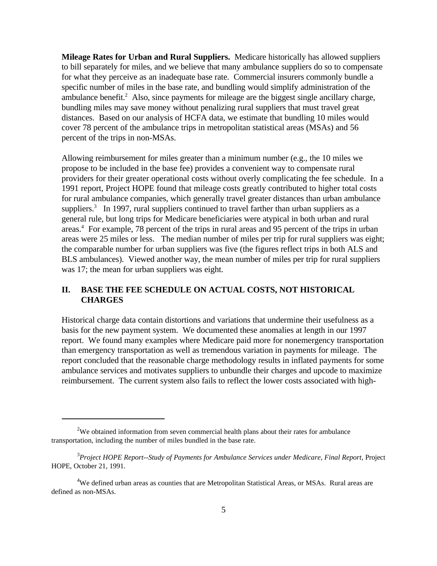**Mileage Rates for Urban and Rural Suppliers.** Medicare historically has allowed suppliers to bill separately for miles, and we believe that many ambulance suppliers do so to compensate for what they perceive as an inadequate base rate. Commercial insurers commonly bundle a specific number of miles in the base rate, and bundling would simplify administration of the ambulance benefit.<sup>2</sup> Also, since payments for mileage are the biggest single ancillary charge, bundling miles may save money without penalizing rural suppliers that must travel great distances. Based on our analysis of HCFA data, we estimate that bundling 10 miles would cover 78 percent of the ambulance trips in metropolitan statistical areas (MSAs) and 56 percent of the trips in non-MSAs.

Allowing reimbursement for miles greater than a minimum number (e.g., the 10 miles we propose to be included in the base fee) provides a convenient way to compensate rural providers for their greater operational costs without overly complicating the fee schedule. In a 1991 report, Project HOPE found that mileage costs greatly contributed to higher total costs for rural ambulance companies, which generally travel greater distances than urban ambulance suppliers.<sup>3</sup> In 1997, rural suppliers continued to travel farther than urban suppliers as a general rule, but long trips for Medicare beneficiaries were atypical in both urban and rural areas.4 For example, 78 percent of the trips in rural areas and 95 percent of the trips in urban areas were 25 miles or less. The median number of miles per trip for rural suppliers was eight; the comparable number for urban suppliers was five (the figures reflect trips in both ALS and BLS ambulances). Viewed another way, the mean number of miles per trip for rural suppliers was 17; the mean for urban suppliers was eight.

#### **II. BASE THE FEE SCHEDULE ON ACTUAL COSTS, NOT HISTORICAL CHARGES**

Historical charge data contain distortions and variations that undermine their usefulness as a basis for the new payment system. We documented these anomalies at length in our 1997 report. We found many examples where Medicare paid more for nonemergency transportation than emergency transportation as well as tremendous variation in payments for mileage. The report concluded that the reasonable charge methodology results in inflated payments for some ambulance services and motivates suppliers to unbundle their charges and upcode to maximize reimbursement. The current system also fails to reflect the lower costs associated with high-

 $2$ We obtained information from seven commercial health plans about their rates for ambulance transportation, including the number of miles bundled in the base rate.

<sup>3</sup> *Project HOPE Report--Study of Payments for Ambulance Services under Medicare, Final Report,* Project HOPE, October 21, 1991.

<sup>&</sup>lt;sup>4</sup>We defined urban areas as counties that are Metropolitan Statistical Areas, or MSAs. Rural areas are defined as non-MSAs.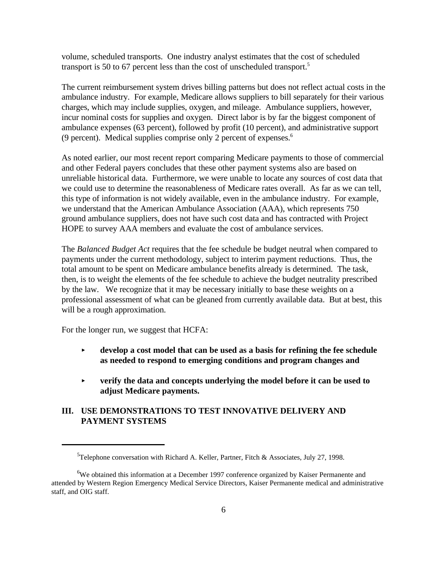volume, scheduled transports. One industry analyst estimates that the cost of scheduled transport is 50 to 67 percent less than the cost of unscheduled transport.5

The current reimbursement system drives billing patterns but does not reflect actual costs in the ambulance industry. For example, Medicare allows suppliers to bill separately for their various charges, which may include supplies, oxygen, and mileage. Ambulance suppliers, however, incur nominal costs for supplies and oxygen. Direct labor is by far the biggest component of ambulance expenses (63 percent), followed by profit (10 percent), and administrative support (9 percent). Medical supplies comprise only 2 percent of expenses.6

As noted earlier, our most recent report comparing Medicare payments to those of commercial and other Federal payers concludes that these other payment systems also are based on unreliable historical data. Furthermore, we were unable to locate any sources of cost data that we could use to determine the reasonableness of Medicare rates overall. As far as we can tell, this type of information is not widely available, even in the ambulance industry. For example, we understand that the American Ambulance Association (AAA), which represents 750 ground ambulance suppliers, does not have such cost data and has contracted with Project HOPE to survey AAA members and evaluate the cost of ambulance services.

The *Balanced Budget Act* requires that the fee schedule be budget neutral when compared to payments under the current methodology, subject to interim payment reductions. Thus, the total amount to be spent on Medicare ambulance benefits already is determined. The task, then, is to weight the elements of the fee schedule to achieve the budget neutrality prescribed by the law. We recognize that it may be necessary initially to base these weights on a professional assessment of what can be gleaned from currently available data. But at best, this will be a rough approximation.

For the longer run, we suggest that HCFA:

- $\blacktriangleright$  **develop a cost model that can be used as a basis for refining the fee schedule as needed to respond to emerging conditions and program changes and**
- $\blacktriangleright$  **verify the data and concepts underlying the model before it can be used to adjust Medicare payments.**

## **III. USE DEMONSTRATIONS TO TEST INNOVATIVE DELIVERY AND PAYMENT SYSTEMS**

 $5$ Telephone conversation with Richard A. Keller, Partner, Fitch & Associates, July 27, 1998.

<sup>&</sup>lt;sup>6</sup>We obtained this information at a December 1997 conference organized by Kaiser Permanente and attended by Western Region Emergency Medical Service Directors, Kaiser Permanente medical and administrative staff, and OIG staff.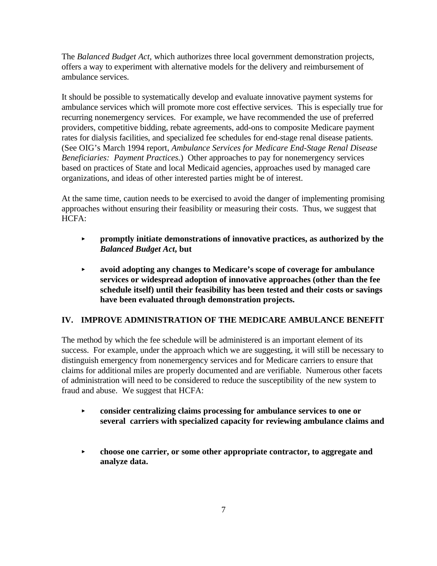The *Balanced Budget Act,* which authorizes three local government demonstration projects, offers a way to experiment with alternative models for the delivery and reimbursement of ambulance services.

It should be possible to systematically develop and evaluate innovative payment systems for ambulance services which will promote more cost effective services. This is especially true for recurring nonemergency services. For example, we have recommended the use of preferred providers, competitive bidding, rebate agreements, add-ons to composite Medicare payment rates for dialysis facilities, and specialized fee schedules for end-stage renal disease patients. (See OIG's March 1994 report, *Ambulance Services for Medicare End-Stage Renal Disease Beneficiaries: Payment Practices.*) Other approaches to pay for nonemergency services based on practices of State and local Medicaid agencies, approaches used by managed care organizations, and ideas of other interested parties might be of interest.

At the same time, caution needs to be exercised to avoid the danger of implementing promising approaches without ensuring their feasibility or measuring their costs. Thus, we suggest that HCFA:

- $\blacktriangleright$  **promptly initiate demonstrations of innovative practices, as authorized by the**  *Balanced Budget Act***, but**
- $\blacktriangleright$  **avoid adopting any changes to Medicare's scope of coverage for ambulance services or widespread adoption of innovative approaches (other than the fee schedule itself) until their feasibility has been tested and their costs or savings have been evaluated through demonstration projects.**

## **IV. IMPROVE ADMINISTRATION OF THE MEDICARE AMBULANCE BENEFIT**

The method by which the fee schedule will be administered is an important element of its success. For example, under the approach which we are suggesting, it will still be necessary to distinguish emergency from nonemergency services and for Medicare carriers to ensure that claims for additional miles are properly documented and are verifiable. Numerous other facets of administration will need to be considered to reduce the susceptibility of the new system to fraud and abuse. We suggest that HCFA:

- $\blacktriangleright$  **consider centralizing claims processing for ambulance services to one or several carriers with specialized capacity for reviewing ambulance claims and**
- $\blacktriangleright$  **choose one carrier, or some other appropriate contractor, to aggregate and analyze data.**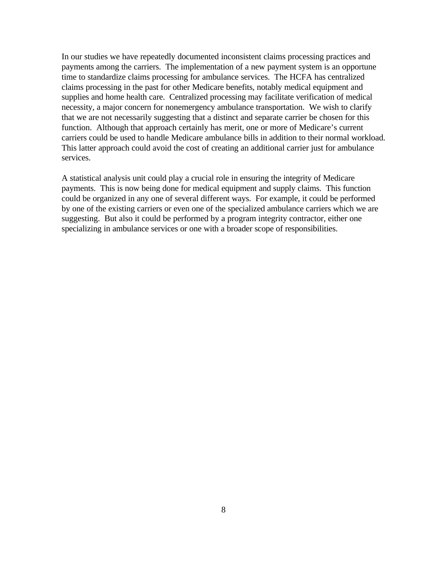In our studies we have repeatedly documented inconsistent claims processing practices and payments among the carriers. The implementation of a new payment system is an opportune time to standardize claims processing for ambulance services. The HCFA has centralized claims processing in the past for other Medicare benefits, notably medical equipment and supplies and home health care. Centralized processing may facilitate verification of medical necessity, a major concern for nonemergency ambulance transportation. We wish to clarify that we are not necessarily suggesting that a distinct and separate carrier be chosen for this function. Although that approach certainly has merit, one or more of Medicare's current carriers could be used to handle Medicare ambulance bills in addition to their normal workload. This latter approach could avoid the cost of creating an additional carrier just for ambulance services.

A statistical analysis unit could play a crucial role in ensuring the integrity of Medicare payments. This is now being done for medical equipment and supply claims. This function could be organized in any one of several different ways. For example, it could be performed by one of the existing carriers or even one of the specialized ambulance carriers which we are suggesting. But also it could be performed by a program integrity contractor, either one specializing in ambulance services or one with a broader scope of responsibilities.